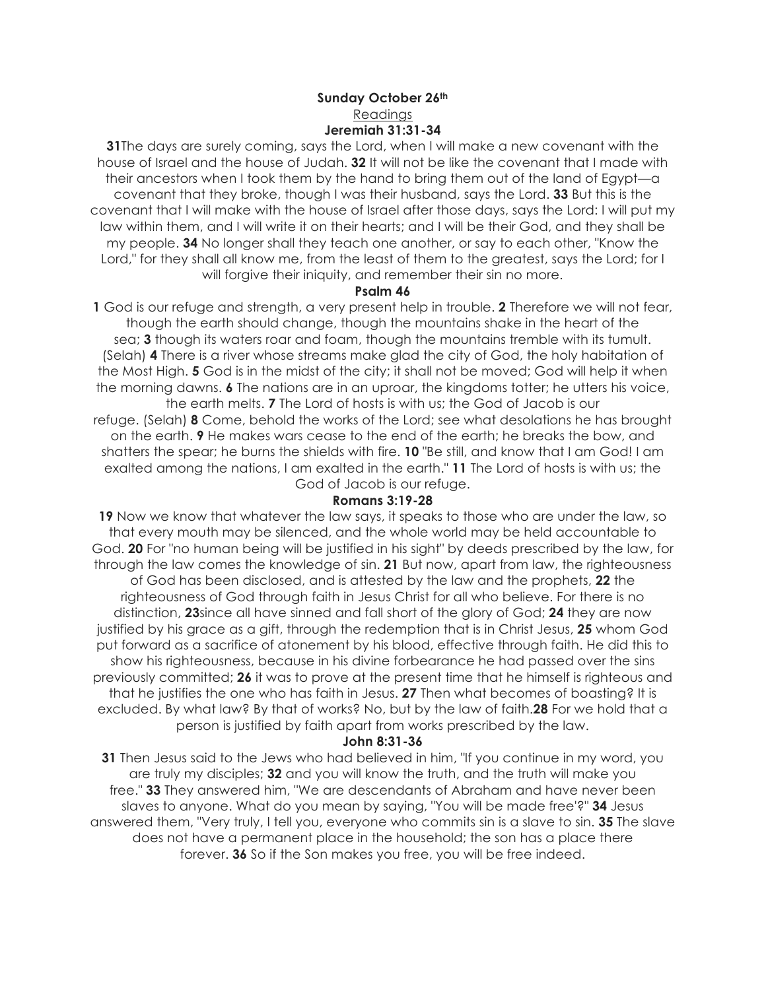## **Sunday October 26th** Readings **Jeremiah 31:31-34**

**31**The days are surely coming, says the Lord, when I will make a new covenant with the house of Israel and the house of Judah. **32** It will not be like the covenant that I made with their ancestors when I took them by the hand to bring them out of the land of Egypt—a covenant that they broke, though I was their husband, says the Lord. **33** But this is the covenant that I will make with the house of Israel after those days, says the Lord: I will put my law within them, and I will write it on their hearts; and I will be their God, and they shall be my people. **34** No longer shall they teach one another, or say to each other, "Know the Lord," for they shall all know me, from the least of them to the greatest, says the Lord; for I will forgive their iniquity, and remember their sin no more.

#### **Psalm 46**

**1** God is our refuge and strength, a very present help in trouble. **2** Therefore we will not fear, though the earth should change, though the mountains shake in the heart of the sea; **3** though its waters roar and foam, though the mountains tremble with its tumult. (Selah) **4** There is a river whose streams make glad the city of God, the holy habitation of the Most High. **5** God is in the midst of the city; it shall not be moved; God will help it when the morning dawns. **6** The nations are in an uproar, the kingdoms totter; he utters his voice, the earth melts. **7** The Lord of hosts is with us; the God of Jacob is our refuge. (Selah) **8** Come, behold the works of the Lord; see what desolations he has brought on the earth. **9** He makes wars cease to the end of the earth; he breaks the bow, and

shatters the spear; he burns the shields with fire. **10** "Be still, and know that I am God! I am exalted among the nations, I am exalted in the earth." **11** The Lord of hosts is with us; the God of Jacob is our refuge.

## **Romans 3:19-28**

**19** Now we know that whatever the law says, it speaks to those who are under the law, so that every mouth may be silenced, and the whole world may be held accountable to God. **20** For "no human being will be justified in his sight" by deeds prescribed by the law, for through the law comes the knowledge of sin. **21** But now, apart from law, the righteousness of God has been disclosed, and is attested by the law and the prophets, **22** the righteousness of God through faith in Jesus Christ for all who believe. For there is no distinction, **23**since all have sinned and fall short of the glory of God; **24** they are now justified by his grace as a gift, through the redemption that is in Christ Jesus, **25** whom God put forward as a sacrifice of atonement by his blood, effective through faith. He did this to show his righteousness, because in his divine forbearance he had passed over the sins previously committed; **26** it was to prove at the present time that he himself is righteous and that he justifies the one who has faith in Jesus. **27** Then what becomes of boasting? It is excluded. By what law? By that of works? No, but by the law of faith.**28** For we hold that a person is justified by faith apart from works prescribed by the law.

## **John 8:31-36**

**31** Then Jesus said to the Jews who had believed in him, "If you continue in my word, you are truly my disciples; **32** and you will know the truth, and the truth will make you free." **33** They answered him, "We are descendants of Abraham and have never been slaves to anyone. What do you mean by saying, "You will be made free'?" **34** Jesus answered them, "Very truly, I tell you, everyone who commits sin is a slave to sin. **35** The slave does not have a permanent place in the household; the son has a place there forever. **36** So if the Son makes you free, you will be free indeed.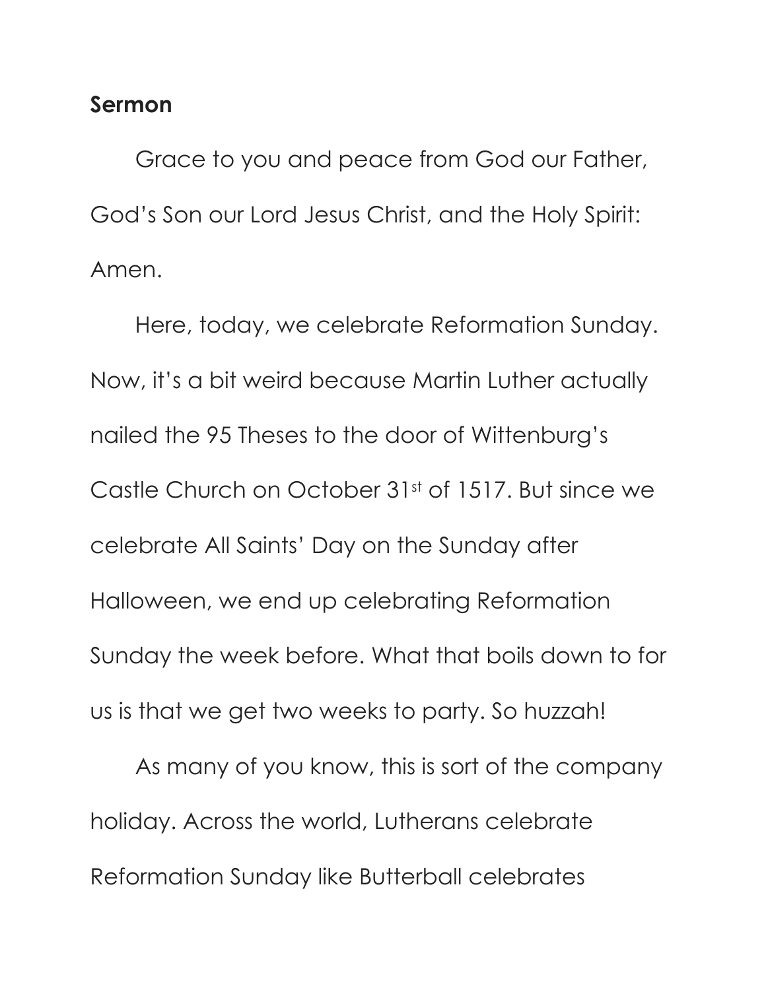# **Sermon**

Grace to you and peace from God our Father, God's Son our Lord Jesus Christ, and the Holy Spirit: Amen.

Here, today, we celebrate Reformation Sunday. Now, it's a bit weird because Martin Luther actually nailed the 95 Theses to the door of Wittenburg's Castle Church on October 31st of 1517. But since we celebrate All Saints' Day on the Sunday after Halloween, we end up celebrating Reformation Sunday the week before. What that boils down to for us is that we get two weeks to party. So huzzah!

As many of you know, this is sort of the company holiday. Across the world, Lutherans celebrate Reformation Sunday like Butterball celebrates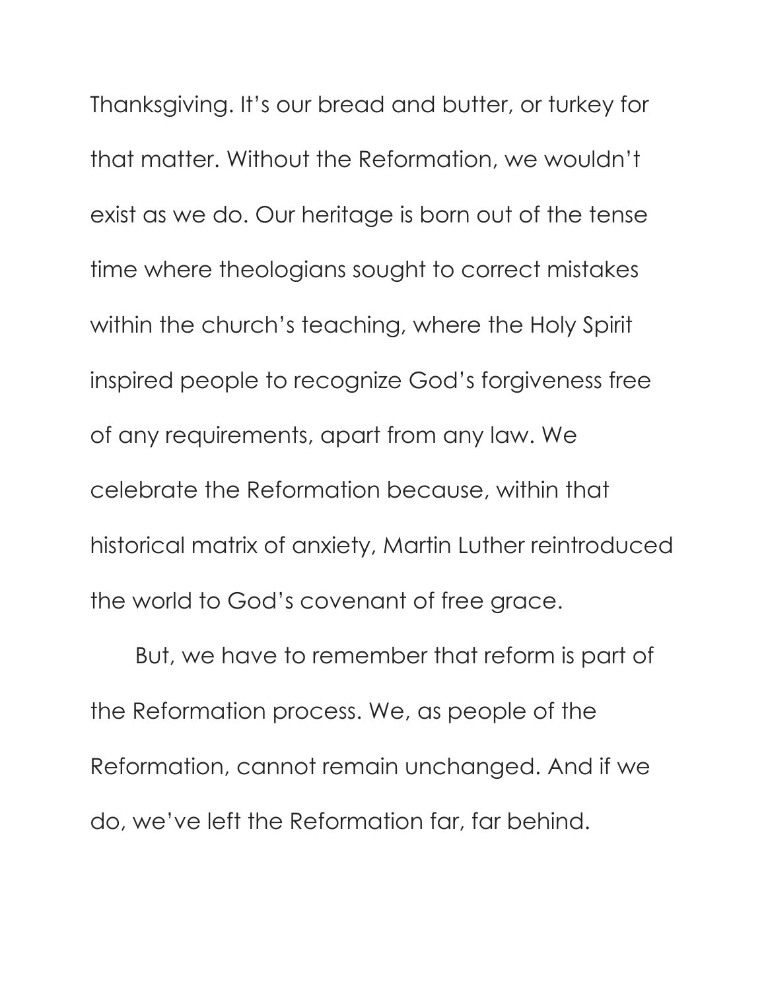Thanksgiving. It's our bread and butter, or turkey for that matter. Without the Reformation, we wouldn't exist as we do. Our heritage is born out of the tense time where theologians sought to correct mistakes within the church's teaching, where the Holy Spirit inspired people to recognize God's forgiveness free of any requirements, apart from any law. We celebrate the Reformation because, within that historical matrix of anxiety, Martin Luther reintroduced the world to God's covenant of free grace.

But, we have to remember that reform is part of the Reformation process. We, as people of the Reformation, cannot remain unchanged. And if we do, we've left the Reformation far, far behind.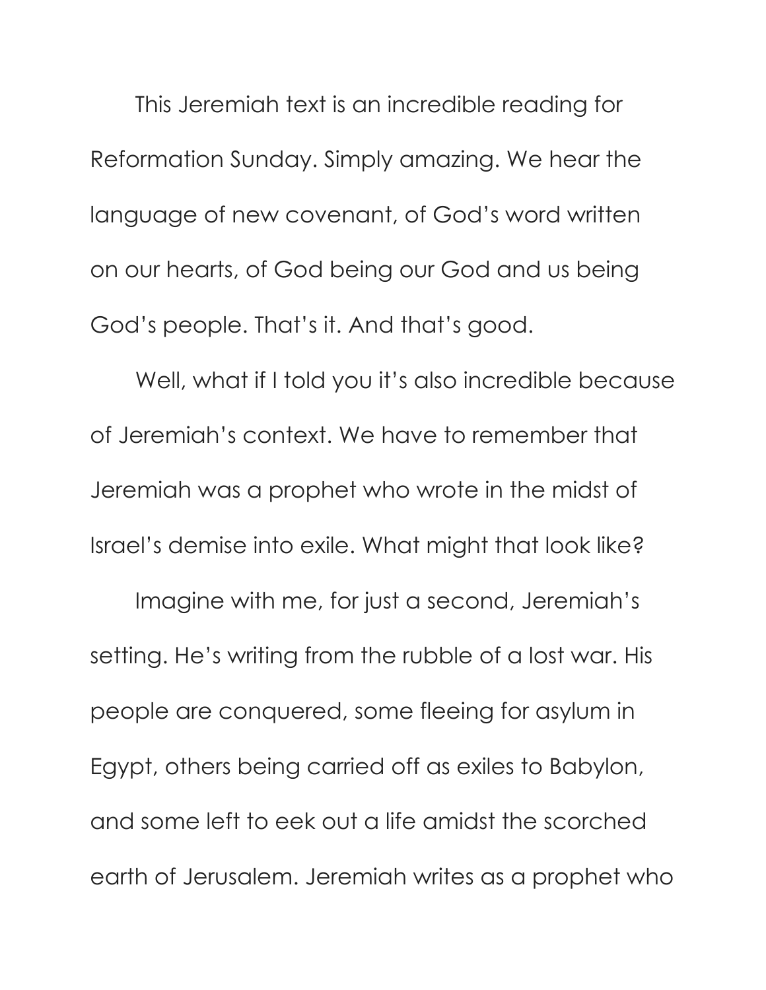This Jeremiah text is an incredible reading for Reformation Sunday. Simply amazing. We hear the language of new covenant, of God's word written on our hearts, of God being our God and us being God's people. That's it. And that's good.

Well, what if I told you it's also incredible because of Jeremiah's context. We have to remember that Jeremiah was a prophet who wrote in the midst of Israel's demise into exile. What might that look like?

Imagine with me, for just a second, Jeremiah's setting. He's writing from the rubble of a lost war. His people are conquered, some fleeing for asylum in Egypt, others being carried off as exiles to Babylon, and some left to eek out a life amidst the scorched earth of Jerusalem. Jeremiah writes as a prophet who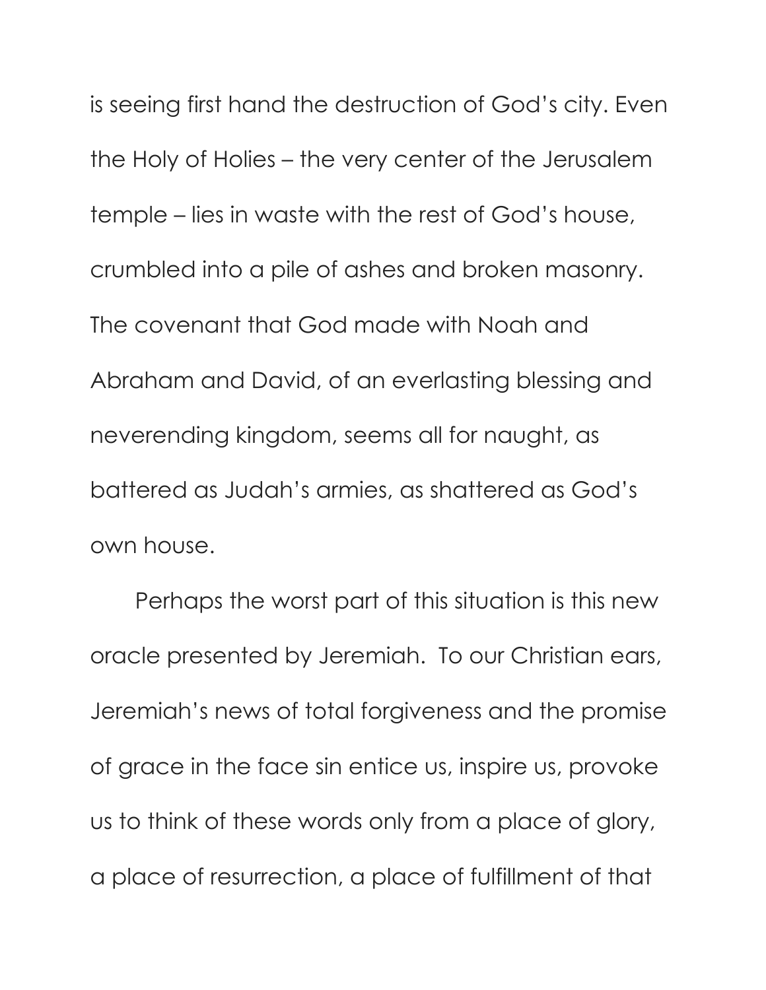is seeing first hand the destruction of God's city. Even the Holy of Holies – the very center of the Jerusalem temple – lies in waste with the rest of God's house, crumbled into a pile of ashes and broken masonry. The covenant that God made with Noah and Abraham and David, of an everlasting blessing and neverending kingdom, seems all for naught, as battered as Judah's armies, as shattered as God's own house.

Perhaps the worst part of this situation is this new oracle presented by Jeremiah. To our Christian ears, Jeremiah's news of total forgiveness and the promise of grace in the face sin entice us, inspire us, provoke us to think of these words only from a place of glory, a place of resurrection, a place of fulfillment of that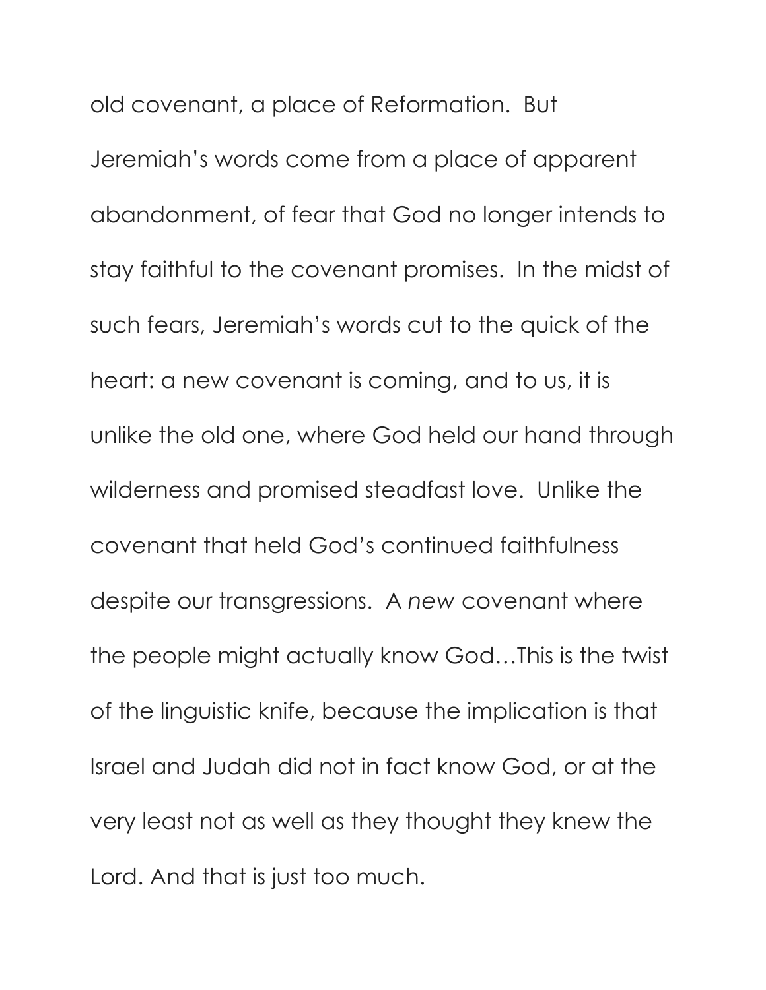old covenant, a place of Reformation. But Jeremiah's words come from a place of apparent abandonment, of fear that God no longer intends to stay faithful to the covenant promises. In the midst of such fears, Jeremiah's words cut to the quick of the heart: a new covenant is coming, and to us, it is unlike the old one, where God held our hand through wilderness and promised steadfast love. Unlike the covenant that held God's continued faithfulness despite our transgressions. A *new* covenant where the people might actually know God…This is the twist of the linguistic knife, because the implication is that Israel and Judah did not in fact know God, or at the very least not as well as they thought they knew the Lord. And that is just too much.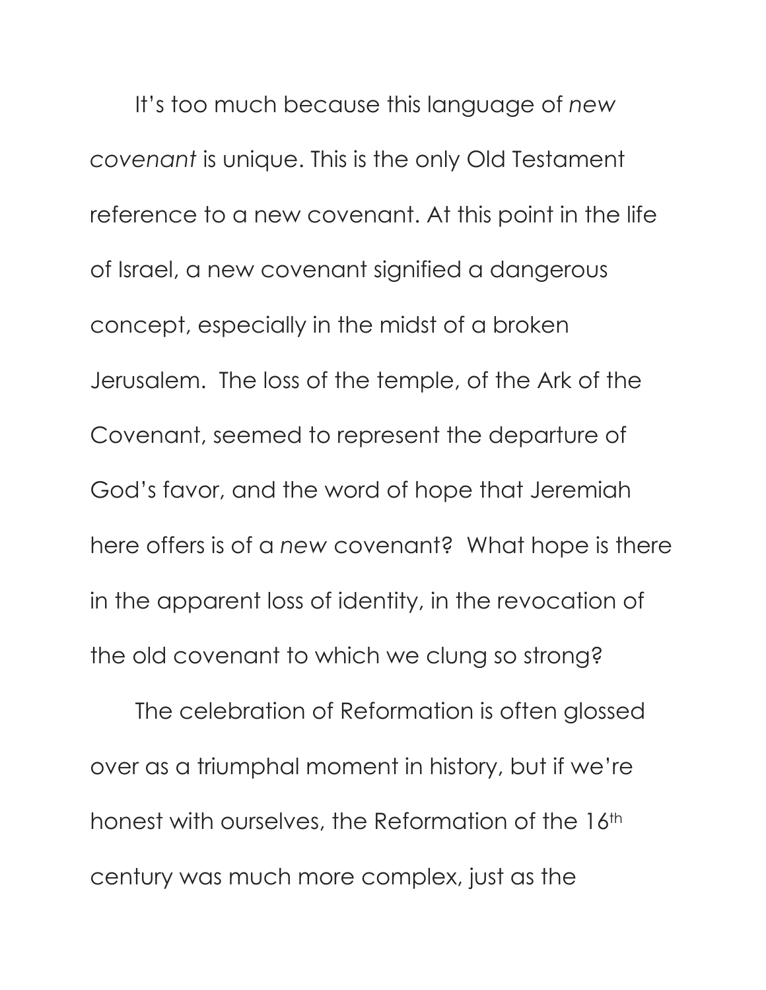It's too much because this language of *new covenant* is unique. This is the only Old Testament reference to a new covenant. At this point in the life of Israel, a new covenant signified a dangerous concept, especially in the midst of a broken Jerusalem. The loss of the temple, of the Ark of the Covenant, seemed to represent the departure of God's favor, and the word of hope that Jeremiah here offers is of a *new* covenant? What hope is there in the apparent loss of identity, in the revocation of the old covenant to which we clung so strong?

The celebration of Reformation is often glossed over as a triumphal moment in history, but if we're honest with ourselves, the Reformation of the 16<sup>th</sup> century was much more complex, just as the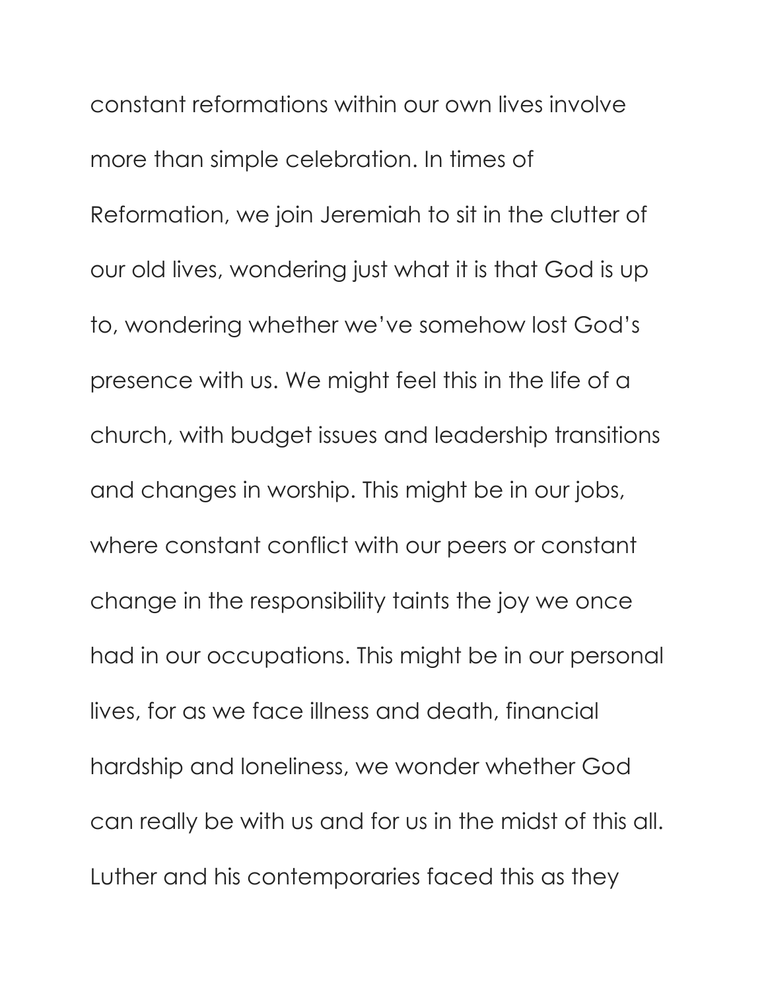constant reformations within our own lives involve more than simple celebration. In times of Reformation, we join Jeremiah to sit in the clutter of our old lives, wondering just what it is that God is up to, wondering whether we've somehow lost God's presence with us. We might feel this in the life of a church, with budget issues and leadership transitions and changes in worship. This might be in our jobs, where constant conflict with our peers or constant change in the responsibility taints the joy we once had in our occupations. This might be in our personal lives, for as we face illness and death, financial hardship and loneliness, we wonder whether God can really be with us and for us in the midst of this all. Luther and his contemporaries faced this as they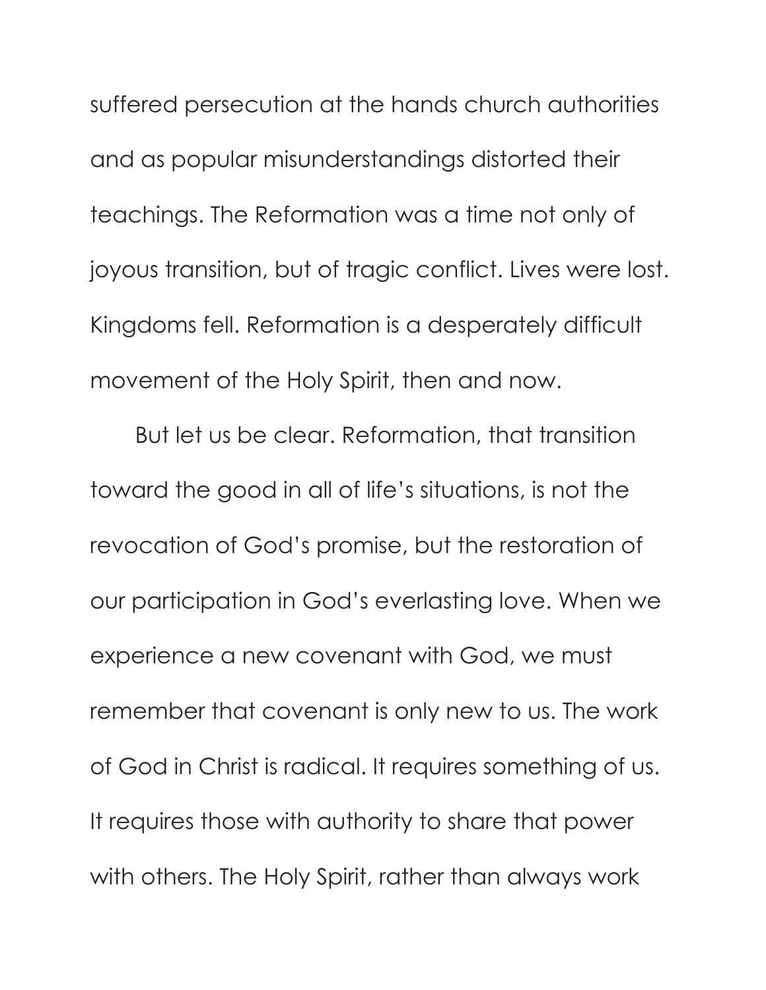suffered persecution at the hands church authorities and as popular misunderstandings distorted their teachings. The Reformation was a time not only of joyous transition, but of tragic conflict. Lives were lost. Kingdoms fell. Reformation is a desperately difficult movement of the Holy Spirit, then and now.

But let us be clear. Reformation, that transition toward the good in all of life's situations, is not the revocation of God's promise, but the restoration of our participation in God's everlasting love. When we experience a new covenant with God, we must remember that covenant is only new to us. The work of God in Christ is radical. It requires something of us. It requires those with authority to share that power with others. The Holy Spirit, rather than always work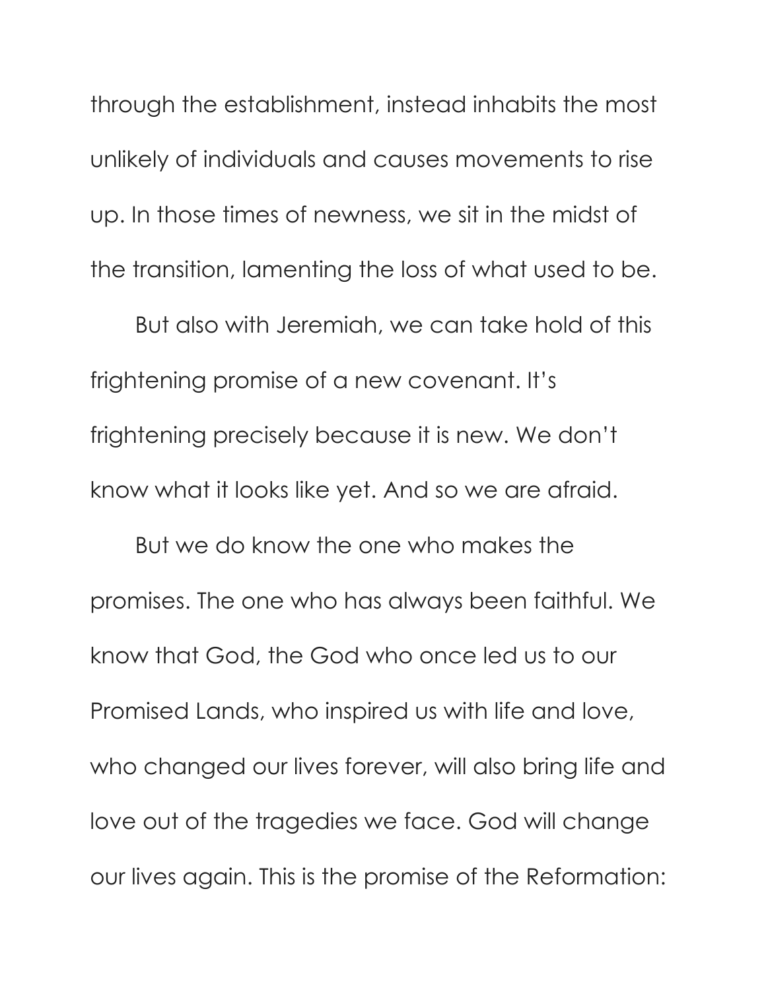through the establishment, instead inhabits the most unlikely of individuals and causes movements to rise up. In those times of newness, we sit in the midst of the transition, lamenting the loss of what used to be.

But also with Jeremiah, we can take hold of this frightening promise of a new covenant. It's frightening precisely because it is new. We don't know what it looks like yet. And so we are afraid.

But we do know the one who makes the promises. The one who has always been faithful. We know that God, the God who once led us to our Promised Lands, who inspired us with life and love, who changed our lives forever, will also bring life and love out of the tragedies we face. God will change our lives again. This is the promise of the Reformation: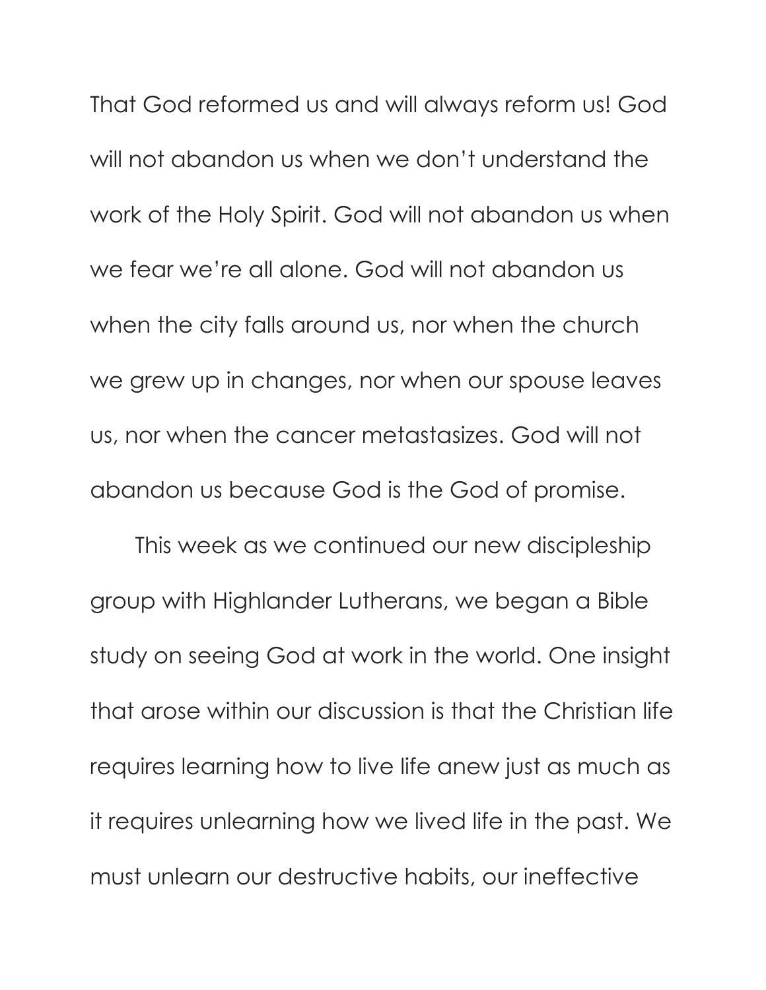That God reformed us and will always reform us! God will not abandon us when we don't understand the work of the Holy Spirit. God will not abandon us when we fear we're all alone. God will not abandon us when the city falls around us, nor when the church we grew up in changes, nor when our spouse leaves us, nor when the cancer metastasizes. God will not abandon us because God is the God of promise.

This week as we continued our new discipleship group with Highlander Lutherans, we began a Bible study on seeing God at work in the world. One insight that arose within our discussion is that the Christian life requires learning how to live life anew just as much as it requires unlearning how we lived life in the past. We must unlearn our destructive habits, our ineffective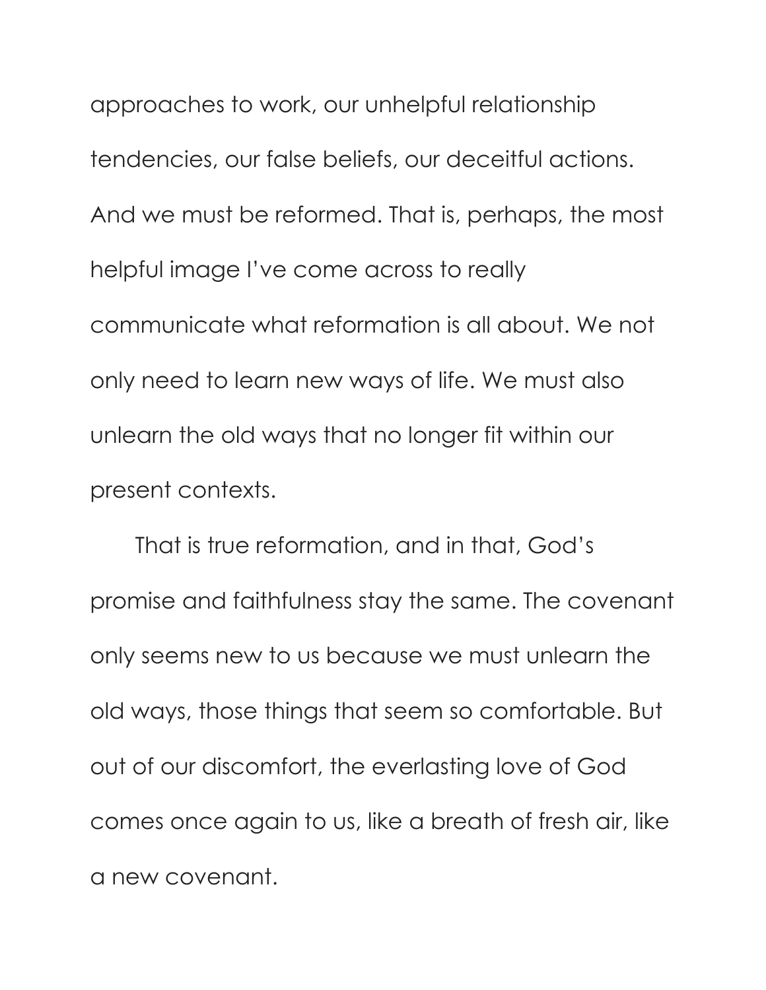approaches to work, our unhelpful relationship tendencies, our false beliefs, our deceitful actions. And we must be reformed. That is, perhaps, the most helpful image I've come across to really communicate what reformation is all about. We not only need to learn new ways of life. We must also unlearn the old ways that no longer fit within our present contexts.

That is true reformation, and in that, God's promise and faithfulness stay the same. The covenant only seems new to us because we must unlearn the old ways, those things that seem so comfortable. But out of our discomfort, the everlasting love of God comes once again to us, like a breath of fresh air, like a new covenant.